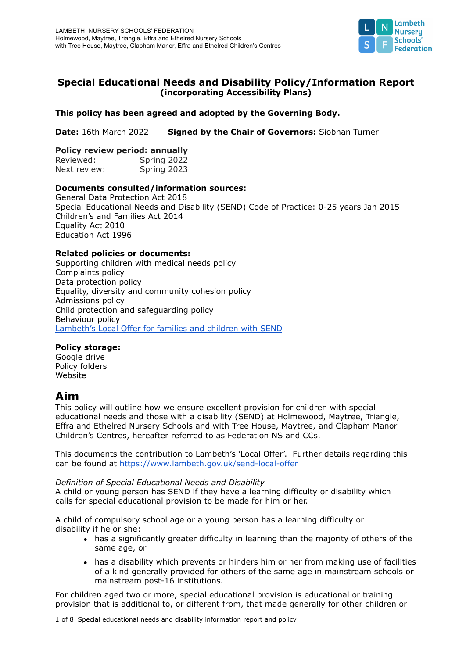

## **Special Educational Needs and Disability Policy/Information Report (incorporating Accessibility Plans)**

## **This policy has been agreed and adopted by the Governing Body.**

**Date:** 16th March 2022 **Signed by the Chair of Governors:** Siobhan Turner

### **Policy review period: annually**

Reviewed: Spring 2022 Next review: Spring 2023

## **Documents consulted/information sources:**

General Data Protection Act 2018 Special Educational Needs and Disability (SEND) Code of Practice: 0-25 years Jan 2015 Children's and Families Act 2014 Equality Act 2010 Education Act 1996

## **Related policies or documents:**

Supporting children with medical needs policy Complaints policy Data protection policy Equality, diversity and community cohesion policy Admissions policy Child protection and safeguarding policy Behaviour policy [Lambeth's](https://www.lambeth.gov.uk/send-local-offer) Local Offer for families and children with SEND

## **Policy storage:**

Google drive Policy folders Website

## **Aim**

This policy will outline how we ensure excellent provision for children with special educational needs and those with a disability (SEND) at Holmewood, Maytree, Triangle, Effra and Ethelred Nursery Schools and with Tree House, Maytree, and Clapham Manor Children's Centres, hereafter referred to as Federation NS and CCs.

This documents the contribution to Lambeth's 'Local Offer'. Further details regarding this can be found at <https://www.lambeth.gov.uk/send-local-offer>

### *Definition of Special Educational Needs and Disability*

A child or young person has SEND if they have a learning difficulty or disability which calls for special educational provision to be made for him or her.

A child of compulsory school age or a young person has a learning difficulty or disability if he or she:

- has a significantly greater difficulty in learning than the majority of others of the same age, or
- has a disability which prevents or hinders him or her from making use of facilities of a kind generally provided for others of the same age in mainstream schools or mainstream post-16 institutions.

For children aged two or more, special educational provision is educational or training provision that is additional to, or different from, that made generally for other children or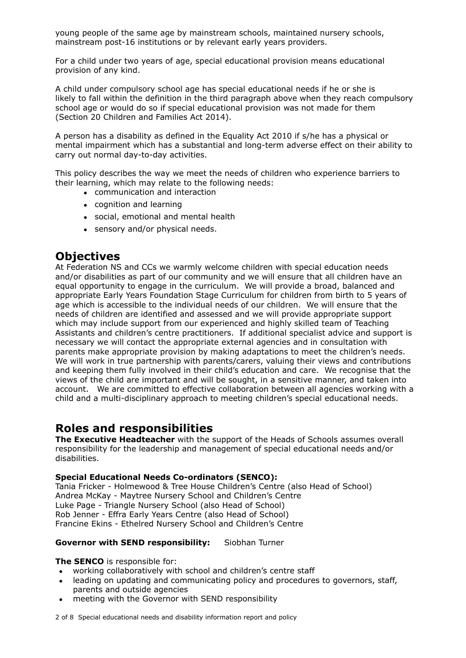young people of the same age by mainstream schools, maintained nursery schools, mainstream post-16 institutions or by relevant early years providers.

For a child under two years of age, special educational provision means educational provision of any kind.

A child under compulsory school age has special educational needs if he or she is likely to fall within the definition in the third paragraph above when they reach compulsory school age or would do so if special educational provision was not made for them (Section 20 Children and Families Act 2014).

A person has a disability as defined in the Equality Act 2010 if s/he has a physical or mental impairment which has a substantial and long-term adverse effect on their ability to carry out normal day-to-day activities.

This policy describes the way we meet the needs of children who experience barriers to their learning, which may relate to the following needs:

- communication and interaction
- cognition and learning
- social, emotional and mental health
- sensory and/or physical needs.

# **Objectives**

At Federation NS and CCs we warmly welcome children with special education needs and/or disabilities as part of our community and we will ensure that all children have an equal opportunity to engage in the curriculum. We will provide a broad, balanced and appropriate Early Years Foundation Stage Curriculum for children from birth to 5 years of age which is accessible to the individual needs of our children. We will ensure that the needs of children are identified and assessed and we will provide appropriate support which may include support from our experienced and highly skilled team of Teaching Assistants and children's centre practitioners. If additional specialist advice and support is necessary we will contact the appropriate external agencies and in consultation with parents make appropriate provision by making adaptations to meet the children's needs. We will work in true partnership with parents/carers, valuing their views and contributions and keeping them fully involved in their child's education and care. We recognise that the views of the child are important and will be sought, in a sensitive manner, and taken into account. We are committed to effective collaboration between all agencies working with a child and a multi-disciplinary approach to meeting children's special educational needs.

## **Roles and responsibilities**

**The Executive Headteacher** with the support of the Heads of Schools assumes overall responsibility for the leadership and management of special educational needs and/or disabilities.

### **Special Educational Needs Co-ordinators (SENCO):**

Tania Fricker - Holmewood & Tree House Children's Centre (also Head of School) Andrea McKay - Maytree Nursery School and Children's Centre Luke Page - Triangle Nursery School (also Head of School) Rob Jenner - Effra Early Years Centre (also Head of School) Francine Ekins - Ethelred Nursery School and Children's Centre

## **Governor with SEND responsibility:** Siobhan Turner

### **The SENCO** is responsible for:

- working collaboratively with school and children's centre staff
- leading on updating and communicating policy and procedures to governors, staff, parents and outside agencies
- meeting with the Governor with SEND responsibility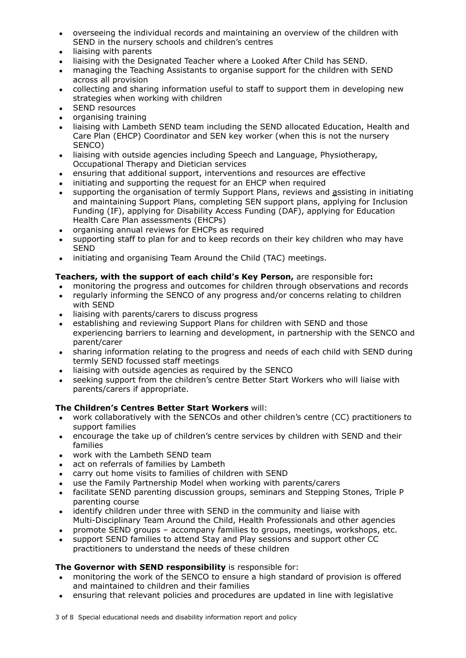- overseeing the individual records and maintaining an overview of the children with SEND in the nursery schools and children's centres
- liaising with parents
- liaising with the Designated Teacher where a Looked After Child has SEND.
- managing the Teaching Assistants to organise support for the children with SEND across all provision
- collecting and sharing information useful to staff to support them in developing new strategies when working with children
- SEND resources
- organising training
- liaising with Lambeth SEND team including the SEND allocated Education, Health and Care Plan (EHCP) Coordinator and SEN key worker (when this is not the nursery SENCO)
- liaising with outside agencies including Speech and Language, Physiotherapy, Occupational Therapy and Dietician services
- ensuring that additional support, interventions and resources are effective
- initiating and supporting the request for an EHCP when required
- supporting the organisation of termly Support Plans, reviews and assisting in initiating and maintaining Support Plans, completing SEN support plans, applying for Inclusion Funding (IF), applying for Disability Access Funding (DAF), applying for Education Health Care Plan assessments (EHCPs)
- organising annual reviews for EHCPs as required
- supporting staff to plan for and to keep records on their key children who may have SEND
- initiating and organising Team Around the Child (TAC) meetings.

## **Teachers, with the support of each child's Key Person,** are responsible for**:**

- monitoring the progress and outcomes for children through observations and records
- regularly informing the SENCO of any progress and/or concerns relating to children with SEND
- liaising with parents/carers to discuss progress
- establishing and reviewing Support Plans for children with SEND and those experiencing barriers to learning and development, in partnership with the SENCO and parent/carer
- sharing information relating to the progress and needs of each child with SEND during termly SEND focussed staff meetings
- liaising with outside agencies as required by the SENCO
- seeking support from the children's centre Better Start Workers who will liaise with parents/carers if appropriate.

## **The Children's Centres Better Start Workers** will:

- work collaboratively with the SENCOs and other children's centre (CC) practitioners to support families
- encourage the take up of children's centre services by children with SEND and their families
- work with the Lambeth SEND team
- act on referrals of families by Lambeth
- carry out home visits to families of children with SEND
- use the Family Partnership Model when working with parents/carers
- facilitate SEND parenting discussion groups, seminars and Stepping Stones, Triple P parenting course
- identify children under three with SEND in the community and liaise with Multi-Disciplinary Team Around the Child, Health Professionals and other agencies
- promote SEND groups accompany families to groups, meetings, workshops, etc.
- support SEND families to attend Stay and Play sessions and support other CC practitioners to understand the needs of these children

## **The Governor with SEND responsibility** is responsible for:

- monitoring the work of the SENCO to ensure a high standard of provision is offered and maintained to children and their families
- ensuring that relevant policies and procedures are updated in line with legislative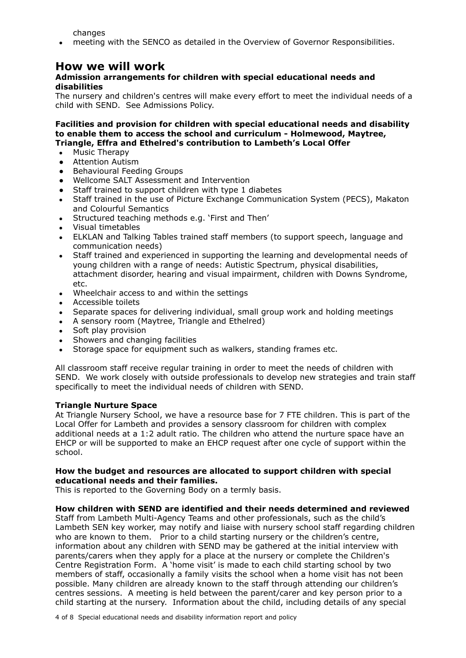changes

• meeting with the SENCO as detailed in the Overview of Governor Responsibilities.

## **How we will work**

## **Admission arrangements for children with special educational needs and disabilities**

The nursery and children's centres will make every effort to meet the individual needs of a child with SEND. See Admissions Policy.

**Facilities and provision for children with special educational needs and disability to enable them to access the school and curriculum - Holmewood, Maytree, Triangle, Effra and Ethelred's contribution to Lambeth's Local Offer**

- Music Therapy
- Attention Autism
- Behavioural Feeding Groups
- Wellcome SALT Assessment and Intervention
- Staff trained to support children with type 1 diabetes
- Staff trained in the use of Picture Exchange Communication System (PECS), Makaton and Colourful Semantics
- Structured teaching methods e.g. 'First and Then'
- Visual timetables
- ELKLAN and Talking Tables trained staff members (to support speech, language and communication needs)
- Staff trained and experienced in supporting the learning and developmental needs of young children with a range of needs: Autistic Spectrum, physical disabilities, attachment disorder, hearing and visual impairment, children with Downs Syndrome, etc.
- Wheelchair access to and within the settings
- Accessible toilets
- Separate spaces for delivering individual, small group work and holding meetings
- A sensory room (Maytree, Triangle and Ethelred)
- Soft play provision
- Showers and changing facilities
- Storage space for equipment such as walkers, standing frames etc.

All classroom staff receive regular training in order to meet the needs of children with SEND. We work closely with outside professionals to develop new strategies and train staff specifically to meet the individual needs of children with SEND.

### **Triangle Nurture Space**

At Triangle Nursery School, we have a resource base for 7 FTE children. This is part of the Local Offer for Lambeth and provides a sensory classroom for children with complex additional needs at a 1:2 adult ratio. The children who attend the nurture space have an EHCP or will be supported to make an EHCP request after one cycle of support within the school.

### **How the budget and resources are allocated to support children with special educational needs and their families.**

This is reported to the Governing Body on a termly basis.

### **How children with SEND are identified and their needs determined and reviewed**

Staff from Lambeth Multi-Agency Teams and other professionals, such as the child's Lambeth SEN key worker, may notify and liaise with nursery school staff regarding children who are known to them. Prior to a child starting nursery or the children's centre, information about any children with SEND may be gathered at the initial interview with parents/carers when they apply for a place at the nursery or complete the Children's Centre Registration Form. A 'home visit' is made to each child starting school by two members of staff, occasionally a family visits the school when a home visit has not been possible. Many children are already known to the staff through attending our children's centres sessions. A meeting is held between the parent/carer and key person prior to a child starting at the nursery. Information about the child, including details of any special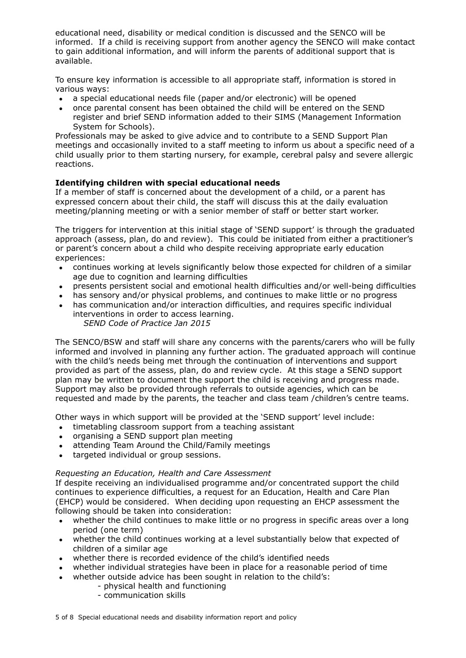educational need, disability or medical condition is discussed and the SENCO will be informed. If a child is receiving support from another agency the SENCO will make contact to gain additional information, and will inform the parents of additional support that is available.

To ensure key information is accessible to all appropriate staff, information is stored in various ways:

- a special educational needs file (paper and/or electronic) will be opened
- once parental consent has been obtained the child will be entered on the SEND register and brief SEND information added to their SIMS (Management Information System for Schools).

Professionals may be asked to give advice and to contribute to a SEND Support Plan meetings and occasionally invited to a staff meeting to inform us about a specific need of a child usually prior to them starting nursery, for example, cerebral palsy and severe allergic reactions.

## **Identifying children with special educational needs**

If a member of staff is concerned about the development of a child, or a parent has expressed concern about their child, the staff will discuss this at the daily evaluation meeting/planning meeting or with a senior member of staff or better start worker.

The triggers for intervention at this initial stage of 'SEND support' is through the graduated approach (assess, plan, do and review). This could be initiated from either a practitioner's or parent's concern about a child who despite receiving appropriate early education experiences:

- continues working at levels significantly below those expected for children of a similar age due to cognition and learning difficulties
- presents persistent social and emotional health difficulties and/or well-being difficulties
- has sensory and/or physical problems, and continues to make little or no progress
- has communication and/or interaction difficulties, and requires specific individual interventions in order to access learning. *SEND Code of Practice Jan 2015*

The SENCO/BSW and staff will share any concerns with the parents/carers who will be fully informed and involved in planning any further action. The graduated approach will continue with the child's needs being met through the continuation of interventions and support provided as part of the assess, plan, do and review cycle. At this stage a SEND support plan may be written to document the support the child is receiving and progress made. Support may also be provided through referrals to outside agencies, which can be requested and made by the parents, the teacher and class team /children's centre teams.

Other ways in which support will be provided at the 'SEND support' level include:

- timetabling classroom support from a teaching assistant
- organising a SEND support plan meeting
- attending Team Around the Child/Family meetings
- targeted individual or group sessions.

### *Requesting an Education, Health and Care Assessment*

If despite receiving an individualised programme and/or concentrated support the child continues to experience difficulties, a request for an Education, Health and Care Plan (EHCP) would be considered. When deciding upon requesting an EHCP assessment the following should be taken into consideration:

- whether the child continues to make little or no progress in specific areas over a long period (one term)
- whether the child continues working at a level substantially below that expected of children of a similar age
- whether there is recorded evidence of the child's identified needs
- whether individual strategies have been in place for a reasonable period of time
- whether outside advice has been sought in relation to the child's:
	- physical health and functioning
		- communication skills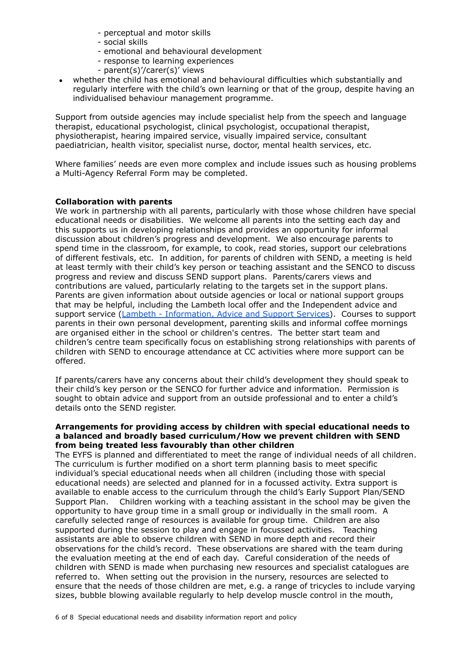- perceptual and motor skills
- social skills
- emotional and behavioural development
- response to learning experiences
- parent(s)'/carer(s)' views
- whether the child has emotional and behavioural difficulties which substantially and regularly interfere with the child's own learning or that of the group, despite having an individualised behaviour management programme.

Support from outside agencies may include specialist help from the speech and language therapist, educational psychologist, clinical psychologist, occupational therapist, physiotherapist, hearing impaired service, visually impaired service, consultant paediatrician, health visitor, specialist nurse, doctor, mental health services, etc.

Where families' needs are even more complex and include issues such as housing problems a Multi-Agency Referral Form may be completed.

## **Collaboration with parents**

We work in partnership with all parents, particularly with those whose children have special educational needs or disabilities. We welcome all parents into the setting each day and this supports us in developing relationships and provides an opportunity for informal discussion about children's progress and development. We also encourage parents to spend time in the classroom, for example, to cook, read stories, support our celebrations of different festivals, etc. In addition, for parents of children with SEND, a meeting is held at least termly with their child's key person or teaching assistant and the SENCO to discuss progress and review and discuss SEND support plans. Parents/carers views and contributions are valued, particularly relating to the targets set in the support plans. Parents are given information about outside agencies or local or national support groups that may be helpful, including the Lambeth local offer and the Independent advice and support service (Lambeth - [Information,](https://www.lambeth.gov.uk/send-local-offer/information-advice-and-support/get-confidential-and-impartial-advice-about-send) Advice and Support Services). Courses to support parents in their own personal development, parenting skills and informal coffee mornings are organised either in the school or children's centres. The better start team and children's centre team specifically focus on establishing strong relationships with parents of children with SEND to encourage attendance at CC activities where more support can be offered.

If parents/carers have any concerns about their child's development they should speak to their child's key person or the SENCO for further advice and information. Permission is sought to obtain advice and support from an outside professional and to enter a child's details onto the SEND register.

### **Arrangements for providing access by children with special educational needs to a balanced and broadly based curriculum/How we prevent children with SEND from being treated less favourably than other children**

The EYFS is planned and differentiated to meet the range of individual needs of all children. The curriculum is further modified on a short term planning basis to meet specific individual's special educational needs when all children (including those with special educational needs) are selected and planned for in a focussed activity. Extra support is available to enable access to the curriculum through the child's Early Support Plan/SEND Support Plan. Children working with a teaching assistant in the school may be given the opportunity to have group time in a small group or individually in the small room. A carefully selected range of resources is available for group time. Children are also supported during the session to play and engage in focussed activities. Teaching assistants are able to observe children with SEND in more depth and record their observations for the child's record. These observations are shared with the team during the evaluation meeting at the end of each day. Careful consideration of the needs of children with SEND is made when purchasing new resources and specialist catalogues are referred to. When setting out the provision in the nursery, resources are selected to ensure that the needs of those children are met, e.g. a range of tricycles to include varying sizes, bubble blowing available regularly to help develop muscle control in the mouth,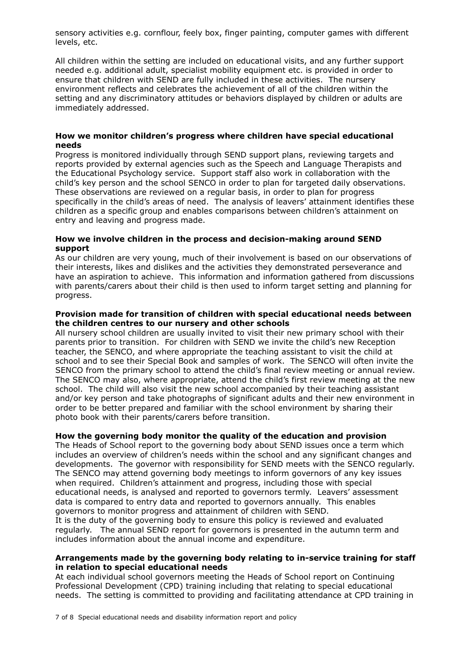sensory activities e.g. cornflour, feely box, finger painting, computer games with different levels, etc.

All children within the setting are included on educational visits, and any further support needed e.g. additional adult, specialist mobility equipment etc. is provided in order to ensure that children with SEND are fully included in these activities. The nursery environment reflects and celebrates the achievement of all of the children within the setting and any discriminatory attitudes or behaviors displayed by children or adults are immediately addressed.

#### **How we monitor children's progress where children have special educational needs**

Progress is monitored individually through SEND support plans, reviewing targets and reports provided by external agencies such as the Speech and Language Therapists and the Educational Psychology service. Support staff also work in collaboration with the child's key person and the school SENCO in order to plan for targeted daily observations. These observations are reviewed on a regular basis, in order to plan for progress specifically in the child's areas of need. The analysis of leavers' attainment identifies these children as a specific group and enables comparisons between children's attainment on entry and leaving and progress made.

## **How we involve children in the process and decision-making around SEND support**

As our children are very young, much of their involvement is based on our observations of their interests, likes and dislikes and the activities they demonstrated perseverance and have an aspiration to achieve. This information and information gathered from discussions with parents/carers about their child is then used to inform target setting and planning for progress.

## **Provision made for transition of children with special educational needs between the children centres to our nursery and other schools**

All nursery school children are usually invited to visit their new primary school with their parents prior to transition. For children with SEND we invite the child's new Reception teacher, the SENCO, and where appropriate the teaching assistant to visit the child at school and to see their Special Book and samples of work. The SENCO will often invite the SENCO from the primary school to attend the child's final review meeting or annual review. The SENCO may also, where appropriate, attend the child's first review meeting at the new school. The child will also visit the new school accompanied by their teaching assistant and/or key person and take photographs of significant adults and their new environment in order to be better prepared and familiar with the school environment by sharing their photo book with their parents/carers before transition.

### **How the governing body monitor the quality of the education and provision**

The Heads of School report to the governing body about SEND issues once a term which includes an overview of children's needs within the school and any significant changes and developments. The governor with responsibility for SEND meets with the SENCO regularly. The SENCO may attend governing body meetings to inform governors of any key issues when required. Children's attainment and progress, including those with special educational needs, is analysed and reported to governors termly. Leavers' assessment data is compared to entry data and reported to governors annually. This enables governors to monitor progress and attainment of children with SEND.

It is the duty of the governing body to ensure this policy is reviewed and evaluated regularly. The annual SEND report for governors is presented in the autumn term and includes information about the annual income and expenditure.

### **Arrangements made by the governing body relating to in-service training for staff in relation to special educational needs**

At each individual school governors meeting the Heads of School report on Continuing Professional Development (CPD) training including that relating to special educational needs. The setting is committed to providing and facilitating attendance at CPD training in